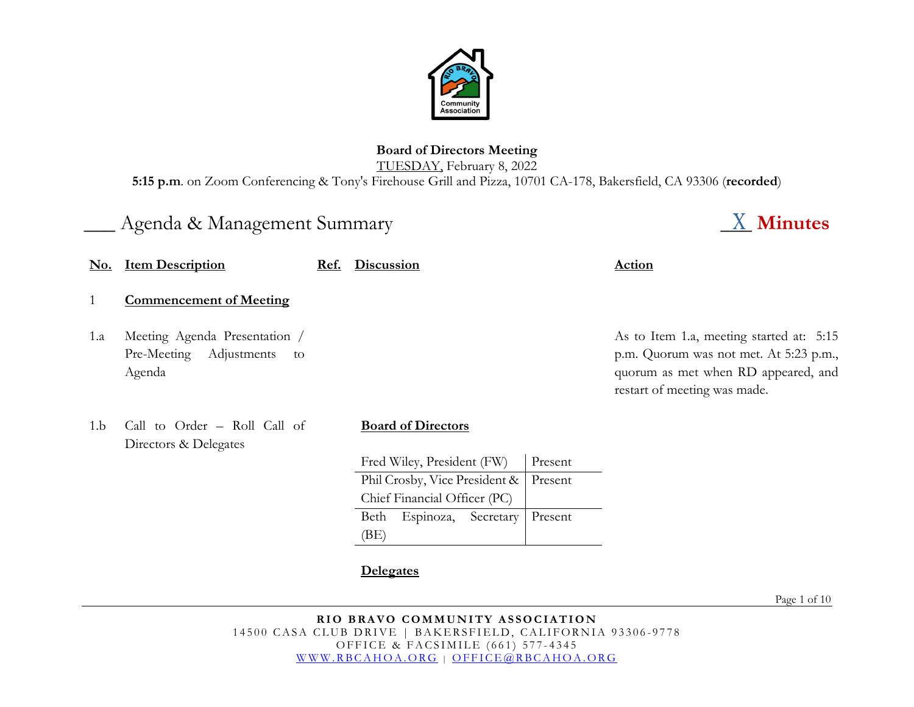

#### **Board of Directors Meeting** TUESDAY, February 8, 2022 **5:15 p.m**. on Zoom Conferencing & Tony's Firehouse Grill and Pizza, 10701 CA-178, Bakersfield, CA 93306 (**recorded**)

# \_\_\_ Agenda & Management Summary \_\_\_ **Minutes**

| <b>No.</b> | <b>Item Description</b>                                                     | Ref. | <b>Discussion</b>              |         | Action                                                                                                                                                    |
|------------|-----------------------------------------------------------------------------|------|--------------------------------|---------|-----------------------------------------------------------------------------------------------------------------------------------------------------------|
|            | <b>Commencement of Meeting</b>                                              |      |                                |         |                                                                                                                                                           |
| 1.a        | Meeting Agenda Presentation /<br>Pre-Meeting<br>Adjustments<br>to<br>Agenda |      |                                |         | As to Item 1.a, meeting started at: 5:15<br>p.m. Quorum was not met. At 5:23 p.m.,<br>quorum as met when RD appeared, and<br>restart of meeting was made. |
| 1.b        | Call to Order - Roll Call of<br>Directors & Delegates                       |      | <b>Board of Directors</b>      |         |                                                                                                                                                           |
|            |                                                                             |      | Fred Wiley, President (FW)     | Present |                                                                                                                                                           |
|            |                                                                             |      | Phil Crosby, Vice President &  | Present |                                                                                                                                                           |
|            |                                                                             |      | Chief Financial Officer (PC)   |         |                                                                                                                                                           |
|            |                                                                             |      | Espinoza,<br>Secretary<br>Beth | Present |                                                                                                                                                           |
|            |                                                                             |      | (BE)                           |         |                                                                                                                                                           |

# **Delegates**

Page 1 of 10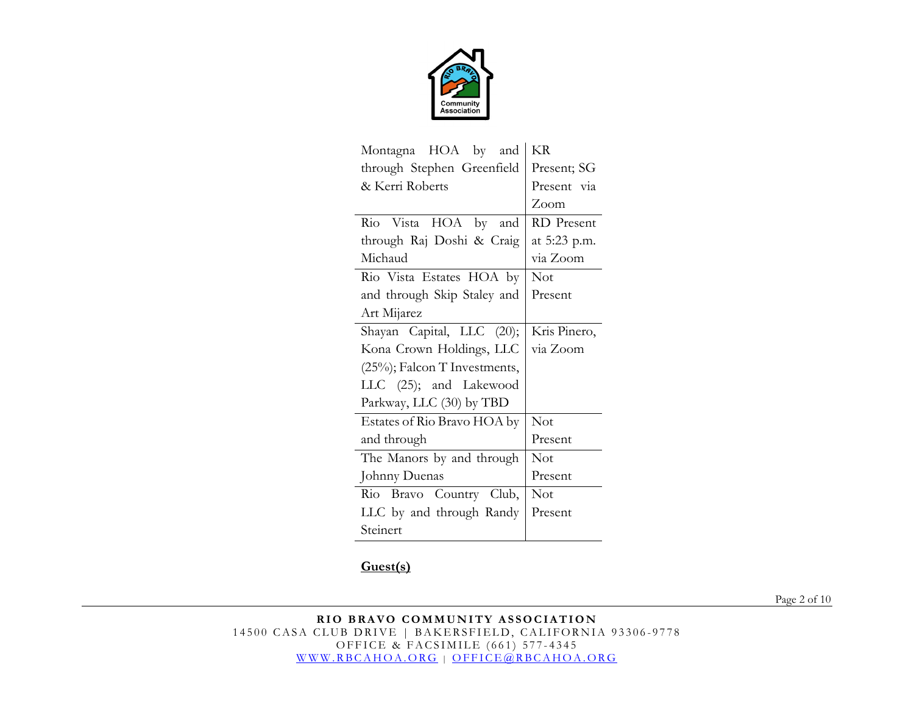

| Montagna HOA by<br>and           | KR           |
|----------------------------------|--------------|
| through Stephen Greenfield       | Present; SG  |
| & Kerri Roberts                  | Present via  |
|                                  | Zoom         |
| Rio Vista HOA by and             | RD Present   |
| through Raj Doshi & Craig        | at 5:23 p.m. |
| Michaud                          | via Zoom     |
| Rio Vista Estates HOA by         | Not          |
| and through Skip Staley and      | Present      |
| Art Mijarez                      |              |
| Shayan Capital, LLC (20);        | Kris Pinero, |
| Kona Crown Holdings, LLC         | via Zoom     |
| $(25\%)$ ; Falcon T Investments, |              |
|                                  |              |
| LLC (25); and Lakewood           |              |
| Parkway, LLC (30) by TBD         |              |
| Estates of Rio Bravo HOA by      | <b>Not</b>   |
| and through                      | Present      |
| The Manors by and through        | Not          |
| Johnny Duenas                    | Present      |
| Rio Bravo Country Club,          | Not          |
| LLC by and through Randy         | Present      |

## **Guest(s)**

Page 2 of 10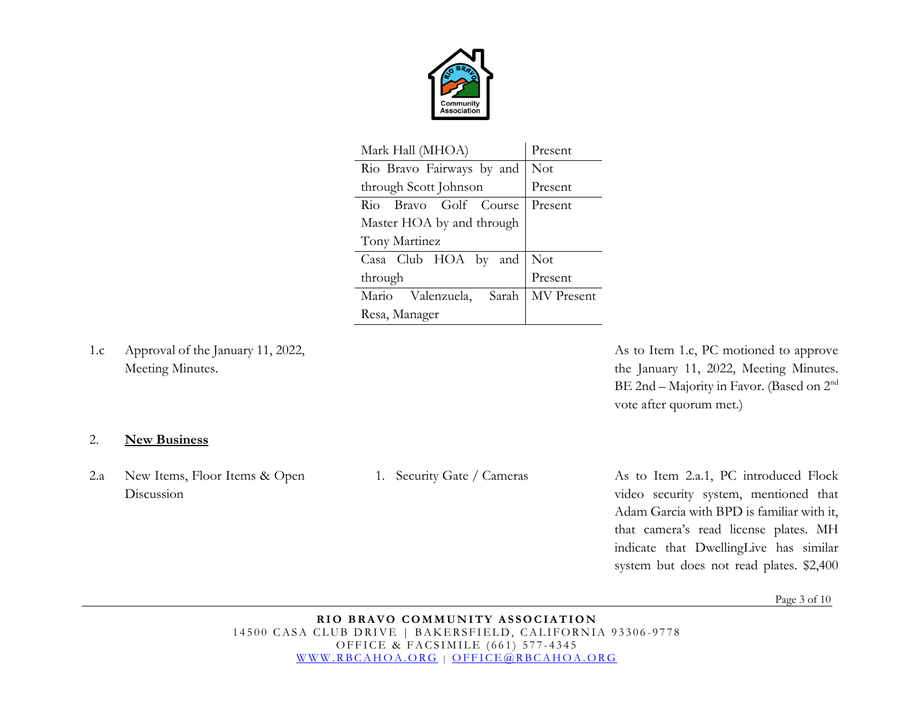

| Mark Hall (MHOA)           | Present    |
|----------------------------|------------|
| Rio Bravo Fairways by and  | <b>Not</b> |
| through Scott Johnson      | Present    |
| Rio Bravo Golf Course      | Present    |
| Master HOA by and through  |            |
| Tony Martinez              |            |
| Casa Club HOA by and       | <b>Not</b> |
| through                    | Present    |
| Mario Valenzuela,<br>Sarah | MV Present |
| Resa, Manager              |            |

1.c Approval of the January 11, 2022, Meeting Minutes.

As to Item 1.c, PC motioned to approve the January 11, 2022, Meeting Minutes. BE 2nd – Majority in Favor. (Based on 2nd vote after quorum met.)

#### 2. **New Business**

2.a New Items, Floor Items & Open Discussion

1. Security Gate / Cameras As to Item 2.a.1, PC introduced Flock video security system, mentioned that Adam Garcia with BPD is familiar with it, that camera's read license plates. MH indicate that DwellingLive has similar system but does not read plates. \$2,400

Page 3 of 10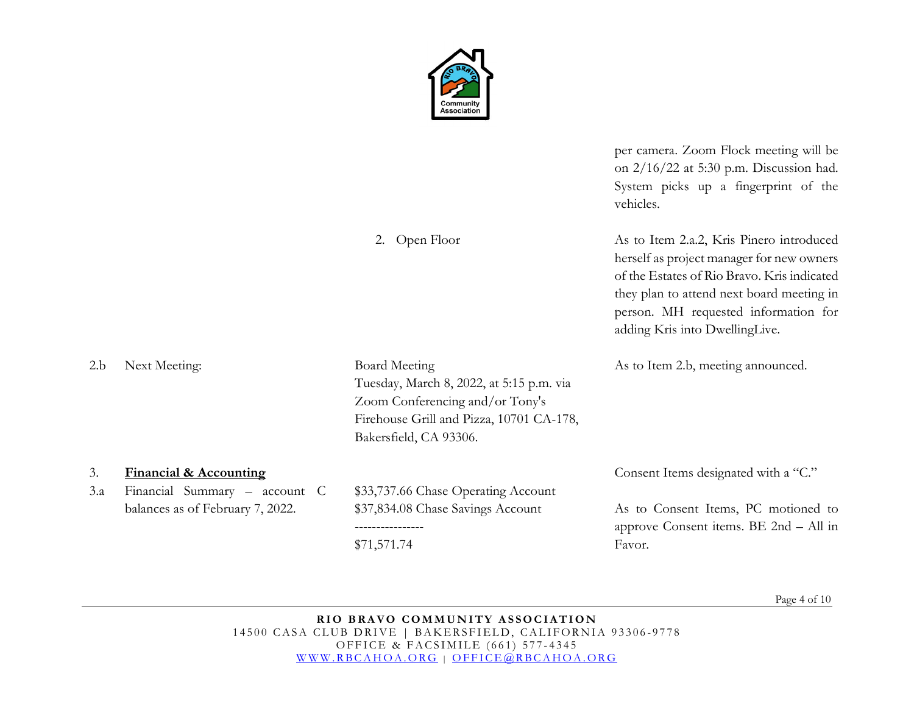

2. Open Floor

per camera. Zoom Flock meeting will be on 2/16/22 at 5:30 p.m. Discussion had. System picks up a fingerprint of the vehicles.

As to Item 2.a.2, Kris Pinero introduced herself as project manager for new owners of the Estates of Rio Bravo. Kris indicated they plan to attend next board meeting in person. MH requested information for

|                      |                                                                    |                                                                                                                                                                           | they plan to attend heat board meeting in<br>person. MH requested information for<br>adding Kris into DwellingLive. |  |
|----------------------|--------------------------------------------------------------------|---------------------------------------------------------------------------------------------------------------------------------------------------------------------------|---------------------------------------------------------------------------------------------------------------------|--|
| 2.b<br>Next Meeting: |                                                                    | <b>Board Meeting</b><br>Tuesday, March 8, 2022, at 5:15 p.m. via<br>Zoom Conferencing and/or Tony's<br>Firehouse Grill and Pizza, 10701 CA-178,<br>Bakersfield, CA 93306. | As to Item 2.b, meeting announced.                                                                                  |  |
| 3.<br>3.a            | <b>Financial &amp; Accounting</b><br>Financial Summary - account C | \$33,737.66 Chase Operating Account                                                                                                                                       | Consent Items designated with a "C."                                                                                |  |
|                      | balances as of February 7, 2022.                                   | \$37,834.08 Chase Savings Account<br>\$71,571.74                                                                                                                          | As to Consent Items, PC motioned to<br>approve Consent items. BE 2nd - All in<br>Favor.                             |  |
|                      |                                                                    |                                                                                                                                                                           |                                                                                                                     |  |

Page 4 of 10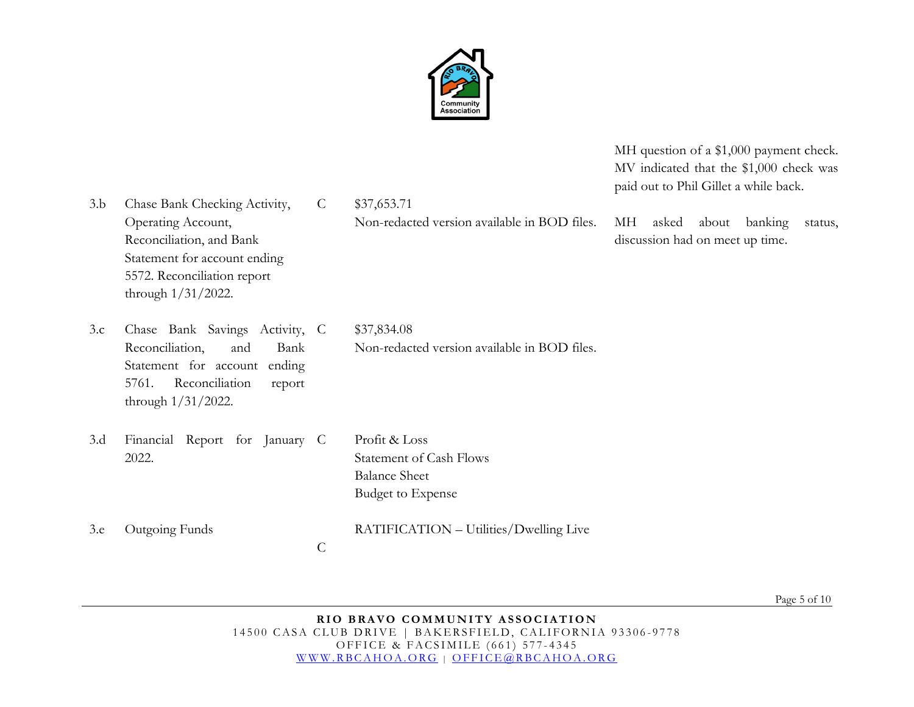

MH question of a \$1,000 payment check. MV indicated that the \$1,000 check was paid out to Phil Gillet a while back.

Non-redacted version available in BOD files. MH asked about banking status, discussion had on meet up time.

3.b Chase Bank Checking Activity, Operating Account, Reconciliation, and Bank Statement for account ending 5572. Reconciliation report through 1/31/2022.

3.c Chase Bank Savings Activity, Reconciliation, and Bank Statement for account ending 5761. Reconciliation report through 1/31/2022.

C \$37,834.08 Non-redacted version available in BOD files.

- 3.d Financial Report for January 2022.
- Profit & Loss Statement of Cash Flows Balance Sheet Budget to Expense

3.e Outgoing Funds

- RATIFICATION Utilities/Dwelling Live
- C

C \$37,653.71

Page 5 of 10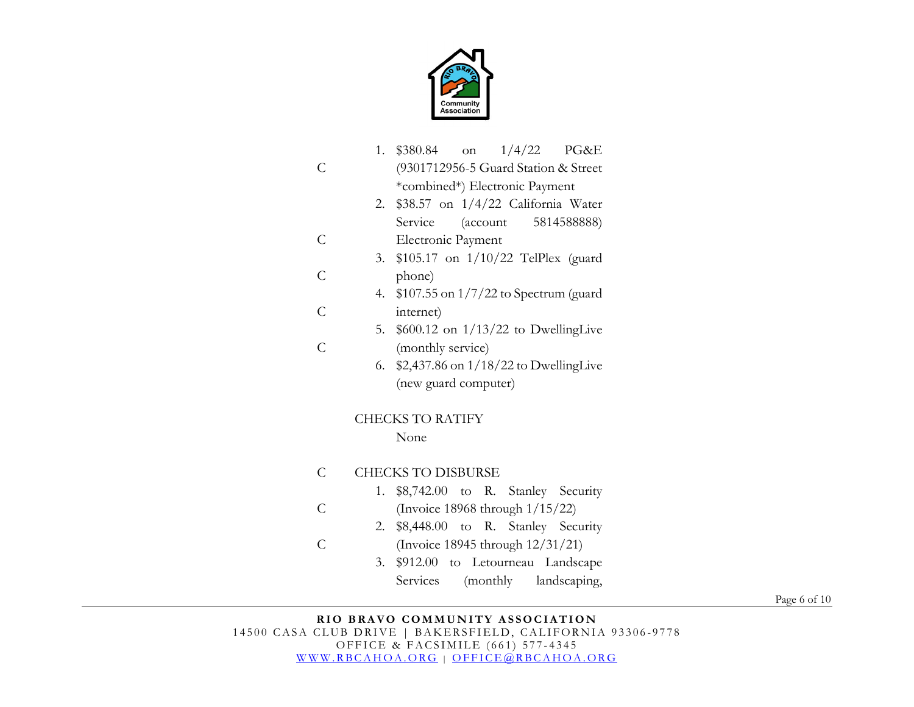

|                | 1. $$380.84$ on $1/4/22$ PG&E<br>(9301712956-5 Guard Station & Street<br>*combined*) Electronic Payment |
|----------------|---------------------------------------------------------------------------------------------------------|
|                | 2. $$38.57$ on $1/4/22$ California Water                                                                |
|                | Service (account 5814588888)                                                                            |
| $\overline{C}$ | Electronic Payment                                                                                      |
|                | 3. \$105.17 on 1/10/22 TelPlex (guard                                                                   |
| C              | phone)                                                                                                  |
|                | 4. \$107.55 on 1/7/22 to Spectrum (guard                                                                |
| $\mathcal{C}$  | internet)                                                                                               |
|                | 5. $$600.12$ on $1/13/22$ to DwellingLive                                                               |
| C              | (monthly service)                                                                                       |
|                | 6. $$2,437.86$ on $1/18/22$ to Dwelling Live                                                            |
|                | (new guard computer)                                                                                    |
|                | <b>CHECKS TO RATIFY</b>                                                                                 |
|                | None                                                                                                    |

C CHECKS TO DISBURSE

C

- 1. \$8,742.00 to R. Stanley Security
- C (Invoice 18968 through 1/15/22)
	- 2. \$8,448.00 to R. Stanley Security
	- (Invoice 18945 through 12/31/21)
		- 3. \$912.00 to Letourneau Landscape Services (monthly landscaping,

Page 6 of 10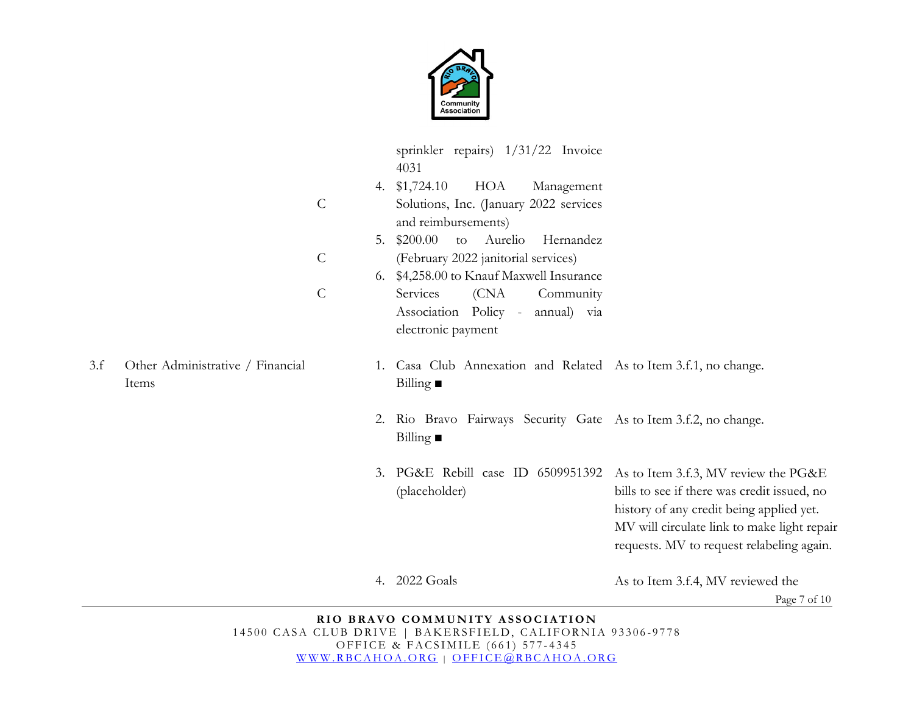

|     |                                           |               |    | sprinkler repairs) 1/31/22 Invoice<br>4031                                                                                                    |                                                                                                                                                                                                                             |
|-----|-------------------------------------------|---------------|----|-----------------------------------------------------------------------------------------------------------------------------------------------|-----------------------------------------------------------------------------------------------------------------------------------------------------------------------------------------------------------------------------|
|     |                                           | $\mathcal{C}$ | 5. | 4. \$1,724.10<br>HOA<br>Management<br>Solutions, Inc. (January 2022 services<br>and reimbursements)<br>\$200.00<br>Aurelio<br>Hernandez<br>to |                                                                                                                                                                                                                             |
|     |                                           | $\mathcal{C}$ |    | (February 2022 janitorial services)                                                                                                           |                                                                                                                                                                                                                             |
|     |                                           | $\mathcal{C}$ |    | 6. \$4,258.00 to Knauf Maxwell Insurance<br>(CNA<br>Services<br>Community<br>Association Policy -<br>annual) via<br>electronic payment        |                                                                                                                                                                                                                             |
| 3.f | Other Administrative / Financial<br>Items |               |    | 1. Casa Club Annexation and Related As to Item 3.f.1, no change.<br>Billing $\blacksquare$                                                    |                                                                                                                                                                                                                             |
|     |                                           |               | 2. | Rio Bravo Fairways Security Gate As to Item 3.f.2, no change.<br>Billing $\blacksquare$                                                       |                                                                                                                                                                                                                             |
|     |                                           |               | 3. | PG&E Rebill case ID 6509951392<br>(placeholder)                                                                                               | As to Item 3.f.3, MV review the PG&E<br>bills to see if there was credit issued, no<br>history of any credit being applied yet.<br>MV will circulate link to make light repair<br>requests. MV to request relabeling again. |
|     |                                           |               |    | 4. 2022 Goals                                                                                                                                 | As to Item 3.f.4, MV reviewed the                                                                                                                                                                                           |

Page 7 of 10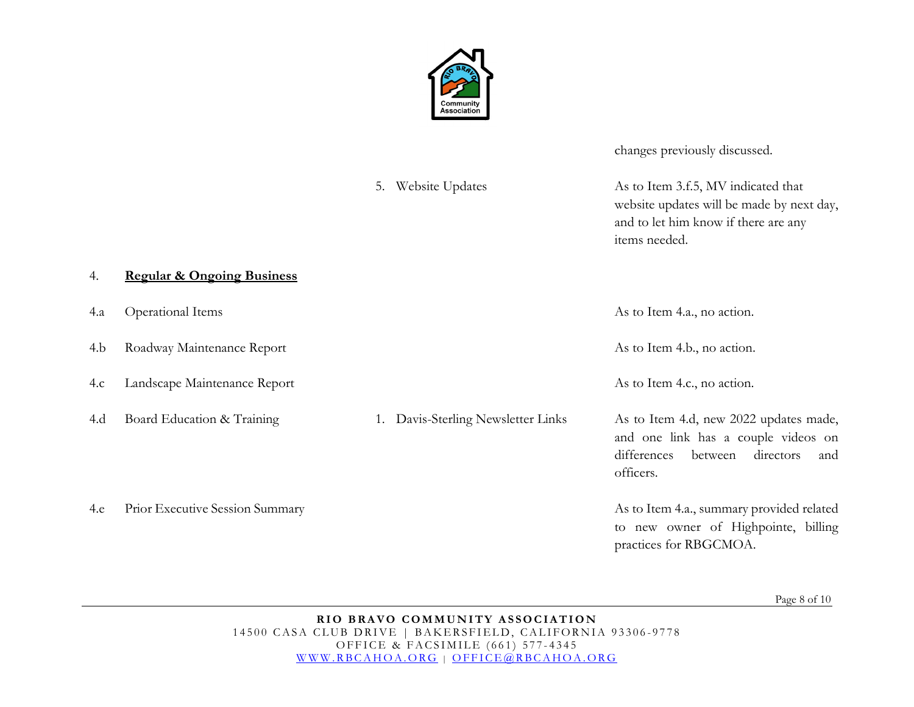

changes previously discussed.

5. Website Updates As to Item 3.f.5, MV indicated that website updates will be made by next day, and to let him know if there are any items needed. 4. **Regular & Ongoing Business** 4.a Operational Items As to Item 4.a., no action. 4.b Roadway Maintenance Report As to Item 4.b., no action. 4.c Landscape Maintenance Report As to Item 4.c., no action. 4.d Board Education & Training 1. Davis-Sterling Newsletter Links As to Item 4.d, new 2022 updates made, and one link has a couple videos on differences between directors and officers. 4.e Prior Executive Session Summary and Summary As to Item 4.a., summary provided related to new owner of Highpointe, billing practices for RBGCMOA.

Page 8 of 10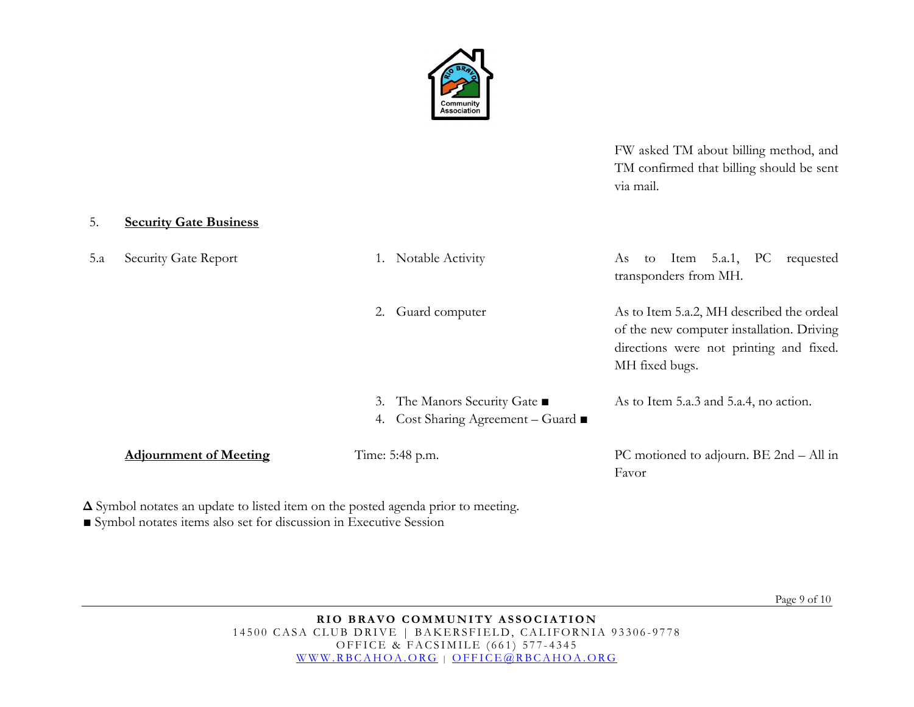

FW asked TM about billing method, and TM confirmed that billing should be sent via mail.

#### 5. **Security Gate Business**

| 5.a | Security Gate Report          | Notable Activity                                                      | Item $5.a.1$ , PC<br>As<br>to<br>requested<br>transponders from MH.                                                                                 |
|-----|-------------------------------|-----------------------------------------------------------------------|-----------------------------------------------------------------------------------------------------------------------------------------------------|
|     |                               | Guard computer<br>2.                                                  | As to Item 5.a.2, MH described the ordeal<br>of the new computer installation. Driving<br>directions were not printing and fixed.<br>MH fixed bugs. |
|     |                               | 3. The Manors Security Gate ■<br>Cost Sharing Agreement – Guard<br>4. | As to Item 5.a.3 and 5.a.4, no action.                                                                                                              |
|     | <b>Adjournment of Meeting</b> | Time: 5:48 p.m.                                                       | PC motioned to adjourn. BE 2nd - All in<br>Favor                                                                                                    |

**Δ** Symbol notates an update to listed item on the posted agenda prior to meeting.

**■** Symbol notates items also set for discussion in Executive Session

Page 9 of 10